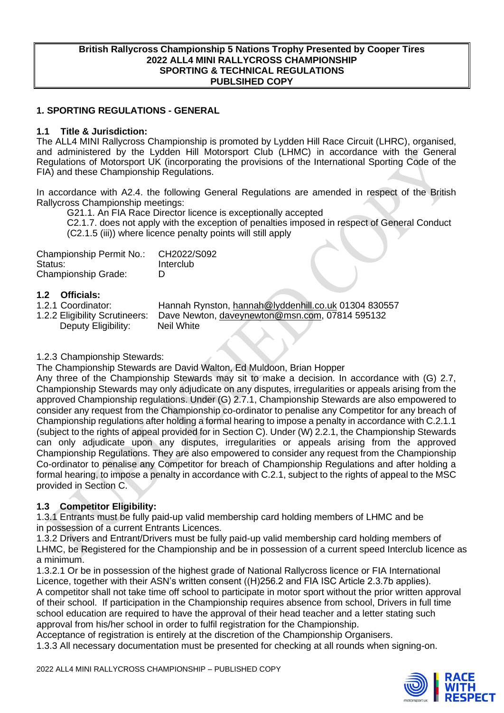#### **British Rallycross Championship 5 Nations Trophy Presented by Cooper Tires 2022 ALL4 MINI RALLYCROSS CHAMPIONSHIP SPORTING & TECHNICAL REGULATIONS PUBLSIHED COPY**

## **1. SPORTING REGULATIONS - GENERAL**

#### **1.1 Title & Jurisdiction:**

The ALL4 MINI Rallycross Championship is promoted by Lydden Hill Race Circuit (LHRC), organised, and administered by the Lydden Hill Motorsport Club (LHMC) in accordance with the General Regulations of Motorsport UK (incorporating the provisions of the International Sporting Code of the FIA) and these Championship Regulations.

In accordance with A2.4. the following General Regulations are amended in respect of the British Rallycross Championship meetings:

G21.1. An FIA Race Director licence is exceptionally accepted

C2.1.7. does not apply with the exception of penalties imposed in respect of General Conduct (C2.1.5 (iii)) where licence penalty points will still apply

| Championship Permit No.:   | CH2022/S092 |
|----------------------------|-------------|
| Status:                    | Interclub   |
| <b>Championship Grade:</b> | D           |

## **1.2 Officials:**

1.2.1 Coordinator: Fannah Rynston, [hannah@lyddenhill.co.uk](mailto:hannah@lyddenhill.co.uk) 01304 830557<br>1.2.2 Eligibility Scrutineers: Dave Newton, daveynewton@msn.com, 07814 595132 Dave Newton, [daveynewton@msn.com,](mailto:daveynewton@msn.com) 07814 595132 Deputy Eligibility: Neil White

#### 1.2.3 Championship Stewards:

The Championship Stewards are David Walton, Ed Muldoon, Brian Hopper

Any three of the Championship Stewards may sit to make a decision. In accordance with (G) 2.7, Championship Stewards may only adjudicate on any disputes, irregularities or appeals arising from the approved Championship regulations. Under (G) 2.7.1, Championship Stewards are also empowered to consider any request from the Championship co-ordinator to penalise any Competitor for any breach of Championship regulations after holding a formal hearing to impose a penalty in accordance with C.2.1.1 (subject to the rights of appeal provided for in Section C). Under (W) 2.2.1, the Championship Stewards can only adjudicate upon any disputes, irregularities or appeals arising from the approved Championship Regulations. They are also empowered to consider any request from the Championship Co-ordinator to penalise any Competitor for breach of Championship Regulations and after holding a formal hearing, to impose a penalty in accordance with C.2.1, subject to the rights of appeal to the MSC provided in Section C.

## **1.3 Competitor Eligibility:**

1.3.1 Entrants must be fully paid-up valid membership card holding members of LHMC and be in possession of a current Entrants Licences.

1.3.2 Drivers and Entrant/Drivers must be fully paid-up valid membership card holding members of LHMC, be Registered for the Championship and be in possession of a current speed Interclub licence as a minimum.

1.3.2.1 Or be in possession of the highest grade of National Rallycross licence or FIA International Licence, together with their ASN's written consent ((H)256.2 and FIA ISC Article 2.3.7b applies). A competitor shall not take time off school to participate in motor sport without the prior written approval of their school. If participation in the Championship requires absence from school, Drivers in full time school education are required to have the approval of their head teacher and a letter stating such approval from his/her school in order to fulfil registration for the Championship.

Acceptance of registration is entirely at the discretion of the Championship Organisers.

1.3.3 All necessary documentation must be presented for checking at all rounds when signing-on.

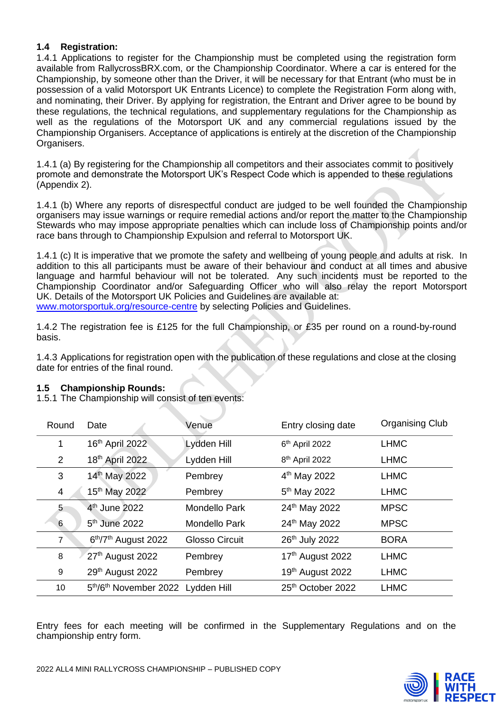## **1.4 Registration:**

1.4.1 Applications to register for the Championship must be completed using the registration form available from RallycrossBRX.com, or the Championship Coordinator. Where a car is entered for the Championship, by someone other than the Driver, it will be necessary for that Entrant (who must be in possession of a valid Motorsport UK Entrants Licence) to complete the Registration Form along with, and nominating, their Driver. By applying for registration, the Entrant and Driver agree to be bound by these regulations, the technical regulations, and supplementary regulations for the Championship as well as the regulations of the Motorsport UK and any commercial regulations issued by the Championship Organisers. Acceptance of applications is entirely at the discretion of the Championship Organisers.

1.4.1 (a) By registering for the Championship all competitors and their associates commit to positively promote and demonstrate the Motorsport UK's Respect Code which is appended to these regulations (Appendix 2).

1.4.1 (b) Where any reports of disrespectful conduct are judged to be well founded the Championship organisers may issue warnings or require remedial actions and/or report the matter to the Championship Stewards who may impose appropriate penalties which can include loss of Championship points and/or race bans through to Championship Expulsion and referral to Motorsport UK.

1.4.1 (c) It is imperative that we promote the safety and wellbeing of young people and adults at risk. In addition to this all participants must be aware of their behaviour and conduct at all times and abusive language and harmful behaviour will not be tolerated. Any such incidents must be reported to the Championship Coordinator and/or Safeguarding Officer who will also relay the report Motorsport UK. Details of the Motorsport UK Policies and Guidelines are available at:

[www.motorsportuk.org/resource-centre](http://www.motorsportuk.org/resource-centre) by selecting Policies and Guidelines.

1.4.2 The registration fee is £125 for the full Championship, or £35 per round on a round-by-round basis.

1.4.3 Applications for registration open with the publication of these regulations and close at the closing date for entries of the final round.

#### **1.5 Championship Rounds:**

1.5.1 The Championship will consist of ten events:

| Round          | Date                                         | Venue                 | Entry closing date         | <b>Organising Club</b> |
|----------------|----------------------------------------------|-----------------------|----------------------------|------------------------|
| 1              | 16th April 2022                              | Lydden Hill           | 6 <sup>th</sup> April 2022 | <b>LHMC</b>            |
| 2              | 18th April 2022                              | Lydden Hill           | 8 <sup>th</sup> April 2022 | <b>LHMC</b>            |
| 3              | 14th May 2022                                | Pembrey               | 4 <sup>th</sup> May 2022   | <b>LHMC</b>            |
| 4              | 15 <sup>th</sup> May 2022                    | Pembrey               | 5 <sup>th</sup> May 2022   | <b>LHMC</b>            |
| 5              | 4 <sup>th</sup> June 2022                    | <b>Mondello Park</b>  | 24th May 2022              | <b>MPSC</b>            |
| 6              | $5th$ June 2022                              | <b>Mondello Park</b>  | 24th May 2022              | <b>MPSC</b>            |
| $\overline{7}$ | 6 <sup>th</sup> /7 <sup>th</sup> August 2022 | <b>Glosso Circuit</b> | 26th July 2022             | <b>BORA</b>            |
| 8              | 27 <sup>th</sup> August 2022                 | Pembrey               | 17th August 2022           | <b>LHMC</b>            |
| 9              | 29th August 2022                             | Pembrey               | 19th August 2022           | <b>LHMC</b>            |
| 10             | 5th/6th November 2022 Lydden Hill            |                       | 25th October 2022          | <b>LHMC</b>            |

Entry fees for each meeting will be confirmed in the Supplementary Regulations and on the championship entry form.

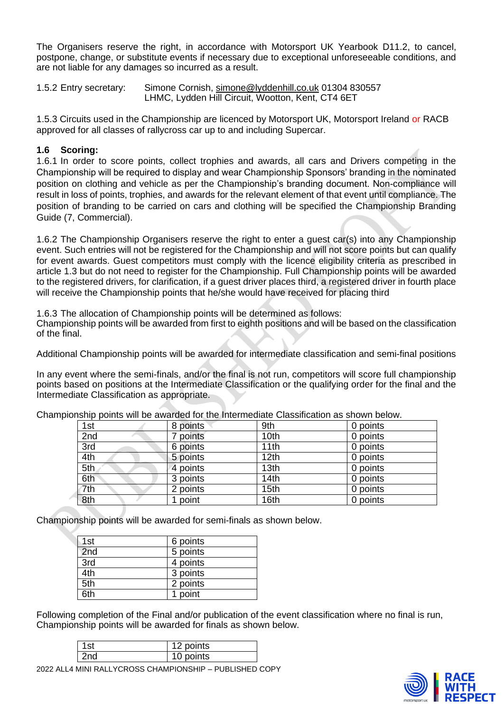The Organisers reserve the right, in accordance with Motorsport UK Yearbook D11.2, to cancel, postpone, change, or substitute events if necessary due to exceptional unforeseeable conditions, and are not liable for any damages so incurred as a result.

1.5.2 Entry secretary: Simone Cornish, [simone@lyddenhill.co.uk](mailto:simone@lyddenhill.co.uk) 01304 830557 LHMC, Lydden Hill Circuit, Wootton, Kent, CT4 6ET

1.5.3 Circuits used in the Championship are licenced by Motorsport UK, Motorsport Ireland or RACB approved for all classes of rallycross car up to and including Supercar.

## **1.6 Scoring:**

1.6.1 In order to score points, collect trophies and awards, all cars and Drivers competing in the Championship will be required to display and wear Championship Sponsors' branding in the nominated position on clothing and vehicle as per the Championship's branding document. Non-compliance will result in loss of points, trophies, and awards for the relevant element of that event until compliance. The position of branding to be carried on cars and clothing will be specified the Championship Branding Guide (7, Commercial).

1.6.2 The Championship Organisers reserve the right to enter a guest car(s) into any Championship event. Such entries will not be registered for the Championship and will not score points but can qualify for event awards. Guest competitors must comply with the licence eligibility criteria as prescribed in article 1.3 but do not need to register for the Championship. Full Championship points will be awarded to the registered drivers, for clarification, if a guest driver places third, a registered driver in fourth place will receive the Championship points that he/she would have received for placing third

1.6.3 The allocation of Championship points will be determined as follows:

Championship points will be awarded from first to eighth positions and will be based on the classification of the final.

Additional Championship points will be awarded for intermediate classification and semi-final positions

In any event where the semi-finals, and/or the final is not run, competitors will score full championship points based on positions at the Intermediate Classification or the qualifying order for the final and the Intermediate Classification as appropriate.

| 1st | 8 points | 9th              | 0 points |
|-----|----------|------------------|----------|
| 2nd | points   | 10th             | 0 points |
| 3rd | 6 points | 11th             | 0 points |
| 4th | 5 points | 12 <sub>th</sub> | 0 points |
| 5th | 4 points | 13th             | 0 points |
| 6th | 3 points | 14th             | 0 points |
| 7th | 2 points | 15th             | 0 points |
| 8th | point    | 16th             | 0 points |

Championship points will be awarded for the Intermediate Classification as shown below.

Championship points will be awarded for semi-finals as shown below.

| 1st | 6 points |
|-----|----------|
| 2nd | 5 points |
| 3rd | 4 points |
| 4th | 3 points |
| 5th | 2 points |
| 3th | point    |

Following completion of the Final and/or publication of the event classification where no final is run, Championship points will be awarded for finals as shown below.

| points |  |
|--------|--|
| points |  |

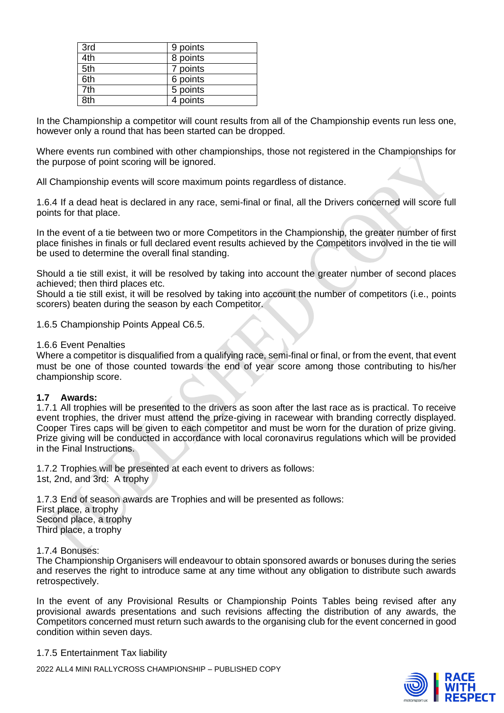| 3rd | 9 points |
|-----|----------|
| 4th | 8 points |
| 5th | 7 points |
| 6th | 6 points |
| 7th | 5 points |
| 8th | 4 points |

In the Championship a competitor will count results from all of the Championship events run less one, however only a round that has been started can be dropped.

Where events run combined with other championships, those not registered in the Championships for the purpose of point scoring will be ignored.

All Championship events will score maximum points regardless of distance.

1.6.4 If a dead heat is declared in any race, semi-final or final, all the Drivers concerned will score full points for that place.

In the event of a tie between two or more Competitors in the Championship, the greater number of first place finishes in finals or full declared event results achieved by the Competitors involved in the tie will be used to determine the overall final standing.

Should a tie still exist, it will be resolved by taking into account the greater number of second places achieved; then third places etc.

Should a tie still exist, it will be resolved by taking into account the number of competitors (i.e., points scorers) beaten during the season by each Competitor.

1.6.5 Championship Points Appeal C6.5.

#### 1.6.6 Event Penalties

Where a competitor is disqualified from a qualifying race, semi-final or final, or from the event, that event must be one of those counted towards the end of year score among those contributing to his/her championship score.

#### **1.7 Awards:**

1.7.1 All trophies will be presented to the drivers as soon after the last race as is practical. To receive event trophies, the driver must attend the prize-giving in racewear with branding correctly displayed. Cooper Tires caps will be given to each competitor and must be worn for the duration of prize giving. Prize giving will be conducted in accordance with local coronavirus regulations which will be provided in the Final Instructions.

1.7.2 Trophies will be presented at each event to drivers as follows: 1st, 2nd, and 3rd: A trophy

1.7.3 End of season awards are Trophies and will be presented as follows: First place, a trophy Second place, a trophy Third place, a trophy

1.7.4 Bonuses:

The Championship Organisers will endeavour to obtain sponsored awards or bonuses during the series and reserves the right to introduce same at any time without any obligation to distribute such awards retrospectively.

In the event of any Provisional Results or Championship Points Tables being revised after any provisional awards presentations and such revisions affecting the distribution of any awards, the Competitors concerned must return such awards to the organising club for the event concerned in good condition within seven days.

1.7.5 Entertainment Tax liability

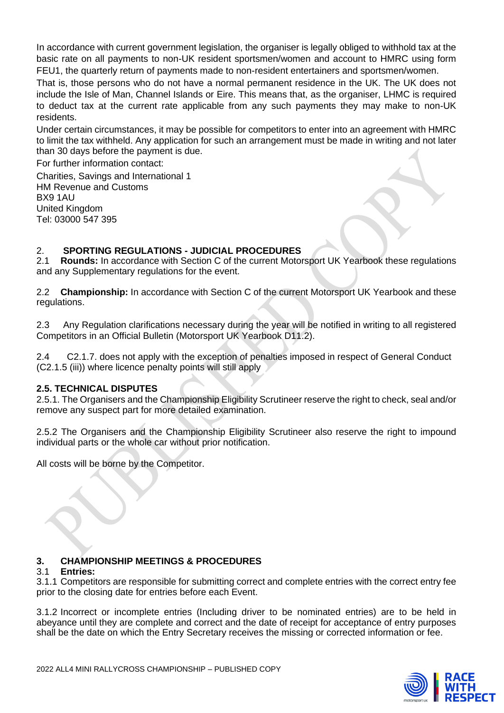In accordance with current government legislation, the organiser is legally obliged to withhold tax at the basic rate on all payments to non-UK resident sportsmen/women and account to HMRC using form FEU1, the quarterly return of payments made to non-resident entertainers and sportsmen/women.

That is, those persons who do not have a normal permanent residence in the UK. The UK does not include the Isle of Man, Channel Islands or Eire. This means that, as the organiser, LHMC is required to deduct tax at the current rate applicable from any such payments they may make to non-UK residents.

Under certain circumstances, it may be possible for competitors to enter into an agreement with HMRC to limit the tax withheld. Any application for such an arrangement must be made in writing and not later than 30 days before the payment is due.

For further information contact:

Charities, Savings and International 1 HM Revenue and Customs BX9 1AU United Kingdom Tel: 03000 547 395

# 2. **SPORTING REGULATIONS - JUDICIAL PROCEDURES**

2.1 **Rounds:** In accordance with Section C of the current Motorsport UK Yearbook these regulations and any Supplementary regulations for the event.

2.2 **Championship:** In accordance with Section C of the current Motorsport UK Yearbook and these regulations.

2.3 Any Regulation clarifications necessary during the year will be notified in writing to all registered Competitors in an Official Bulletin (Motorsport UK Yearbook D11.2).

2.4 C2.1.7. does not apply with the exception of penalties imposed in respect of General Conduct (C2.1.5 (iii)) where licence penalty points will still apply

### **2.5. TECHNICAL DISPUTES**

2.5.1. The Organisers and the Championship Eligibility Scrutineer reserve the right to check, seal and/or remove any suspect part for more detailed examination.

2.5.2 The Organisers and the Championship Eligibility Scrutineer also reserve the right to impound individual parts or the whole car without prior notification.

All costs will be borne by the Competitor.

## **3. CHAMPIONSHIP MEETINGS & PROCEDURES**

#### Entries:

3.1.1 Competitors are responsible for submitting correct and complete entries with the correct entry fee prior to the closing date for entries before each Event.

3.1.2 Incorrect or incomplete entries (Including driver to be nominated entries) are to be held in abeyance until they are complete and correct and the date of receipt for acceptance of entry purposes shall be the date on which the Entry Secretary receives the missing or corrected information or fee.

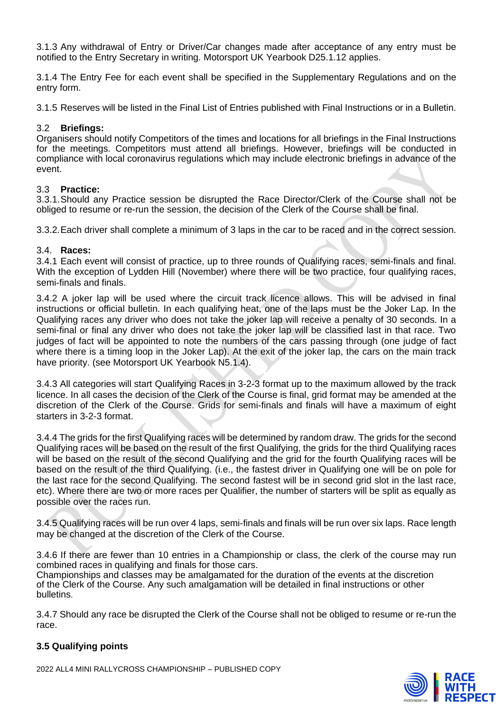3.1.3 Any withdrawal of Entry or Driver/Car changes made after acceptance of any entry must be notified to the Entry Secretary in writing. Motorsport UK Yearbook D25.1.12 applies.

3.1.4 The Entry Fee for each event shall be specified in the Supplementary Regulations and on the entry form.

3.1.5 Reserves will be listed in the Final List of Entries published with Final Instructions or in a Bulletin.

## 3.2 **Briefings:**

Organisers should notify Competitors of the times and locations for all briefings in the Final Instructions for the meetings. Competitors must attend all briefings. However, briefings will be conducted in compliance with local coronavirus regulations which may include electronic briefings in advance of the event.

#### 3.3 **Practice:**

3.3.1.Should any Practice session be disrupted the Race Director/Clerk of the Course shall not be obliged to resume or re-run the session, the decision of the Clerk of the Course shall be final.

3.3.2.Each driver shall complete a minimum of 3 laps in the car to be raced and in the correct session.

## 3.4. **Races:**

3.4.1 Each event will consist of practice, up to three rounds of Qualifying races, semi-finals and final. With the exception of Lydden Hill (November) where there will be two practice, four qualifying races, semi-finals and finals.

3.4.2 A joker lap will be used where the circuit track licence allows. This will be advised in final instructions or official bulletin. In each qualifying heat, one of the laps must be the Joker Lap. In the Qualifying races any driver who does not take the joker lap will receive a penalty of 30 seconds. In a semi-final or final any driver who does not take the joker lap will be classified last in that race. Two judges of fact will be appointed to note the numbers of the cars passing through (one judge of fact where there is a timing loop in the Joker Lap). At the exit of the joker lap, the cars on the main track have priority. (see Motorsport UK Yearbook N5.1.4).

3.4.3 All categories will start Qualifying Races in 3-2-3 format up to the maximum allowed by the track licence. In all cases the decision of the Clerk of the Course is final, grid format may be amended at the discretion of the Clerk of the Course. Grids for semi-finals and finals will have a maximum of eight starters in 3-2-3 format.

3.4.4 The grids for the first Qualifying races will be determined by random draw. The grids for the second Qualifying races will be based on the result of the first Qualifying, the grids for the third Qualifying races will be based on the result of the second Qualifying and the grid for the fourth Qualifying races will be based on the result of the third Qualifying. (i.e., the fastest driver in Qualifying one will be on pole for the last race for the second Qualifying. The second fastest will be in second grid slot in the last race, etc). Where there are two or more races per Qualifier, the number of starters will be split as equally as possible over the races run.

3.4.5 Qualifying races will be run over 4 laps, semi-finals and finals will be run over six laps. Race length may be changed at the discretion of the Clerk of the Course.

3.4.6 If there are fewer than 10 entries in a Championship or class, the clerk of the course may run combined races in qualifying and finals for those cars.

Championships and classes may be amalgamated for the duration of the events at the discretion of the Clerk of the Course. Any such amalgamation will be detailed in final instructions or other bulletins.

3.4.7 Should any race be disrupted the Clerk of the Course shall not be obliged to resume or re-run the race.

## **3.5 Qualifying points**

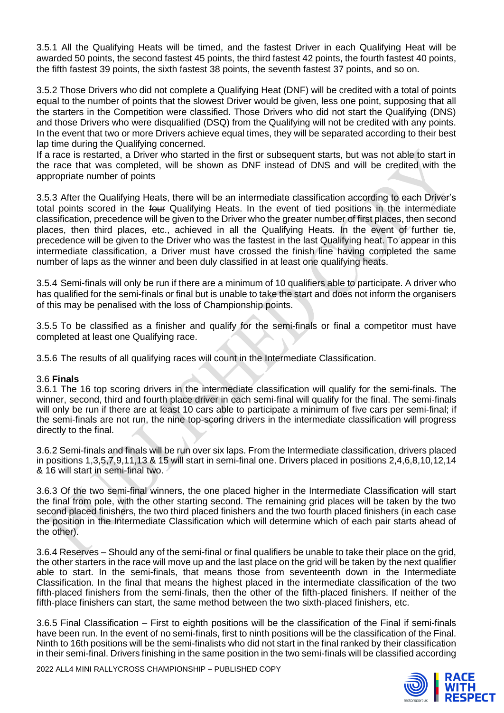3.5.1 All the Qualifying Heats will be timed, and the fastest Driver in each Qualifying Heat will be awarded 50 points, the second fastest 45 points, the third fastest 42 points, the fourth fastest 40 points, the fifth fastest 39 points, the sixth fastest 38 points, the seventh fastest 37 points, and so on.

3.5.2 Those Drivers who did not complete a Qualifying Heat (DNF) will be credited with a total of points equal to the number of points that the slowest Driver would be given, less one point, supposing that all the starters in the Competition were classified. Those Drivers who did not start the Qualifying (DNS) and those Drivers who were disqualified (DSQ) from the Qualifying will not be credited with any points. In the event that two or more Drivers achieve equal times, they will be separated according to their best lap time during the Qualifying concerned.

If a race is restarted, a Driver who started in the first or subsequent starts, but was not able to start in the race that was completed, will be shown as DNF instead of DNS and will be credited with the appropriate number of points

3.5.3 After the Qualifying Heats, there will be an intermediate classification according to each Driver's total points scored in the four Qualifying Heats. In the event of tied positions in the intermediate classification, precedence will be given to the Driver who the greater number of first places, then second places, then third places, etc., achieved in all the Qualifying Heats. In the event of further tie, precedence will be given to the Driver who was the fastest in the last Qualifying heat. To appear in this intermediate classification, a Driver must have crossed the finish line having completed the same number of laps as the winner and been duly classified in at least one qualifying heats.

3.5.4 Semi-finals will only be run if there are a minimum of 10 qualifiers able to participate. A driver who has qualified for the semi-finals or final but is unable to take the start and does not inform the organisers of this may be penalised with the loss of Championship points.

3.5.5 To be classified as a finisher and qualify for the semi-finals or final a competitor must have completed at least one Qualifying race.

3.5.6 The results of all qualifying races will count in the Intermediate Classification.

#### 3.6 **Finals**

3.6.1 The 16 top scoring drivers in the intermediate classification will qualify for the semi-finals. The winner, second, third and fourth place driver in each semi-final will qualify for the final. The semi-finals will only be run if there are at least 10 cars able to participate a minimum of five cars per semi-final; if the semi-finals are not run, the nine top-scoring drivers in the intermediate classification will progress directly to the final.

3.6.2 Semi-finals and finals will be run over six laps. From the Intermediate classification, drivers placed in positions 1,3,5,7,9,11,13 & 15 will start in semi-final one. Drivers placed in positions 2,4,6,8,10,12,14 & 16 will start in semi-final two.

3.6.3 Of the two semi-final winners, the one placed higher in the Intermediate Classification will start the final from pole, with the other starting second. The remaining grid places will be taken by the two second placed finishers, the two third placed finishers and the two fourth placed finishers (in each case the position in the Intermediate Classification which will determine which of each pair starts ahead of the other).

3.6.4 Reserves – Should any of the semi-final or final qualifiers be unable to take their place on the grid, the other starters in the race will move up and the last place on the grid will be taken by the next qualifier able to start. In the semi-finals, that means those from seventeenth down in the Intermediate Classification. In the final that means the highest placed in the intermediate classification of the two fifth-placed finishers from the semi-finals, then the other of the fifth-placed finishers. If neither of the fifth-place finishers can start, the same method between the two sixth-placed finishers, etc.

3.6.5 Final Classification – First to eighth positions will be the classification of the Final if semi-finals have been run. In the event of no semi-finals, first to ninth positions will be the classification of the Final. Ninth to 16th positions will be the semi-finalists who did not start in the final ranked by their classification in their semi-final. Drivers finishing in the same position in the two semi-finals will be classified according

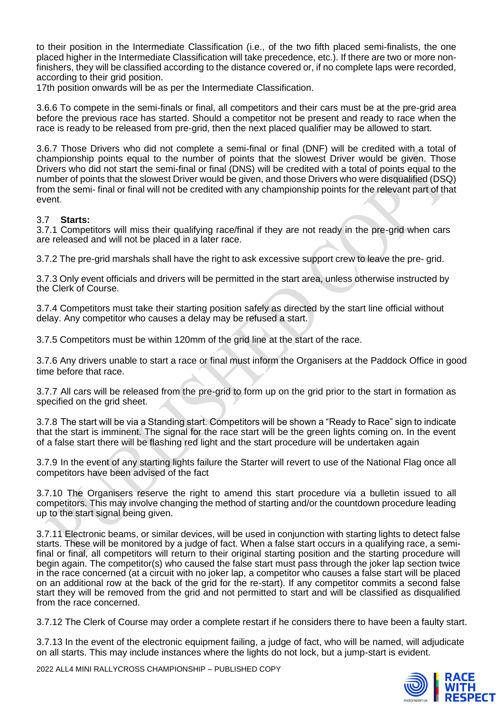to their position in the Intermediate Classification (i.e., of the two fifth placed semi-finalists, the one placed higher in the Intermediate Classification will take precedence, etc.). If there are two or more nonfinishers, they will be classified according to the distance covered or, if no complete laps were recorded, according to their grid position.

17th position onwards will be as per the Intermediate Classification.

3.6.6 To compete in the semi-finals or final, all competitors and their cars must be at the pre-grid area before the previous race has started. Should a competitor not be present and ready to race when the race is ready to be released from pre-grid, then the next placed qualifier may be allowed to start.

3.6.7 Those Drivers who did not complete a semi-final or final (DNF) will be credited with a total of championship points equal to the number of points that the slowest Driver would be given. Those Drivers who did not start the semi-final or final (DNS) will be credited with a total of points equal to the number of points that the slowest Driver would be given, and those Drivers who were disqualified (DSQ) from the semi- final or final will not be credited with any championship points for the relevant part of that event.

#### 3.7 **Starts:**

3.7.1 Competitors will miss their qualifying race/final if they are not ready in the pre-grid when cars are released and will not be placed in a later race.

3.7.2 The pre-grid marshals shall have the right to ask excessive support crew to leave the pre- grid.

3.7.3 Only event officials and drivers will be permitted in the start area, unless otherwise instructed by the Clerk of Course.

3.7.4 Competitors must take their starting position safely as directed by the start line official without delay. Any competitor who causes a delay may be refused a start.

3.7.5 Competitors must be within 120mm of the grid line at the start of the race.

3.7.6 Any drivers unable to start a race or final must inform the Organisers at the Paddock Office in good time before that race.

3.7.7 All cars will be released from the pre-grid to form up on the grid prior to the start in formation as specified on the grid sheet.

3.7.8 The start will be via a Standing start. Competitors will be shown a "Ready to Race" sign to indicate that the start is imminent. The signal for the race start will be the green lights coming on. In the event of a false start there will be flashing red light and the start procedure will be undertaken again

3.7.9 In the event of any starting lights failure the Starter will revert to use of the National Flag once all competitors have been advised of the fact

3.7.10 The Organisers reserve the right to amend this start procedure via a bulletin issued to all competitors. This may involve changing the method of starting and/or the countdown procedure leading up to the start signal being given.

3.7.11 Electronic beams, or similar devices, will be used in conjunction with starting lights to detect false starts. These will be monitored by a judge of fact. When a false start occurs in a qualifying race, a semifinal or final, all competitors will return to their original starting position and the starting procedure will begin again. The competitor(s) who caused the false start must pass through the joker lap section twice in the race concerned (at a circuit with no joker lap, a competitor who causes a false start will be placed on an additional row at the back of the grid for the re-start). If any competitor commits a second false start they will be removed from the grid and not permitted to start and will be classified as disqualified from the race concerned.

3.7.12 The Clerk of Course may order a complete restart if he considers there to have been a faulty start.

3.7.13 In the event of the electronic equipment failing, a judge of fact, who will be named, will adjudicate on all starts. This may include instances where the lights do not lock, but a jump-start is evident.

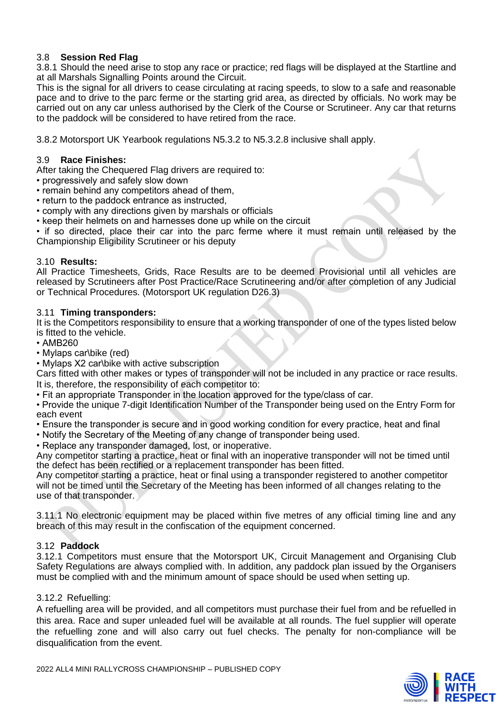## 3.8 **Session Red Flag**

3.8.1 Should the need arise to stop any race or practice; red flags will be displayed at the Startline and at all Marshals Signalling Points around the Circuit.

This is the signal for all drivers to cease circulating at racing speeds, to slow to a safe and reasonable pace and to drive to the parc ferme or the starting grid area, as directed by officials. No work may be carried out on any car unless authorised by the Clerk of the Course or Scrutineer. Any car that returns to the paddock will be considered to have retired from the race.

3.8.2 Motorsport UK Yearbook regulations N5.3.2 to N5.3.2.8 inclusive shall apply.

## 3.9 **Race Finishes:**

After taking the Chequered Flag drivers are required to:

- progressively and safely slow down
- remain behind any competitors ahead of them,
- return to the paddock entrance as instructed,
- comply with any directions given by marshals or officials
- keep their helmets on and harnesses done up while on the circuit

• if so directed, place their car into the parc ferme where it must remain until released by the Championship Eligibility Scrutineer or his deputy

#### 3.10 **Results:**

All Practice Timesheets, Grids, Race Results are to be deemed Provisional until all vehicles are released by Scrutineers after Post Practice/Race Scrutineering and/or after completion of any Judicial or Technical Procedures. (Motorsport UK regulation D26.3)

#### 3.11 **Timing transponders:**

It is the Competitors responsibility to ensure that a working transponder of one of the types listed below is fitted to the vehicle.

- AMB260
- Mylaps car\bike (red)
- Mylaps X2 car\bike with active subscription

Cars fitted with other makes or types of transponder will not be included in any practice or race results. It is, therefore, the responsibility of each competitor to:

• Fit an appropriate Transponder in the location approved for the type/class of car.

• Provide the unique 7-digit Identification Number of the Transponder being used on the Entry Form for each event

- Ensure the transponder is secure and in good working condition for every practice, heat and final
- Notify the Secretary of the Meeting of any change of transponder being used.
- Replace any transponder damaged, lost, or inoperative.

Any competitor starting a practice, heat or final with an inoperative transponder will not be timed until the defect has been rectified or a replacement transponder has been fitted.

Any competitor starting a practice, heat or final using a transponder registered to another competitor will not be timed until the Secretary of the Meeting has been informed of all changes relating to the use of that transponder.

3.11.1 No electronic equipment may be placed within five metres of any official timing line and any breach of this may result in the confiscation of the equipment concerned.

#### 3.12 **Paddock**

3.12.1 Competitors must ensure that the Motorsport UK, Circuit Management and Organising Club Safety Regulations are always complied with. In addition, any paddock plan issued by the Organisers must be complied with and the minimum amount of space should be used when setting up.

#### 3.12.2 Refuelling:

A refuelling area will be provided, and all competitors must purchase their fuel from and be refuelled in this area. Race and super unleaded fuel will be available at all rounds. The fuel supplier will operate the refuelling zone and will also carry out fuel checks. The penalty for non-compliance will be disqualification from the event.



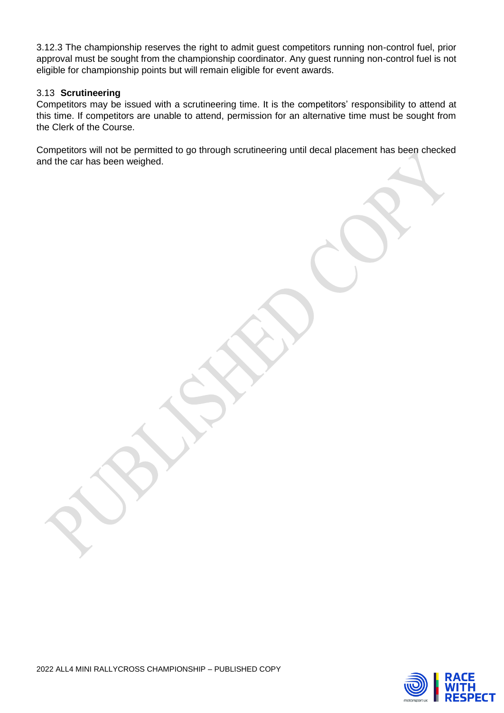3.12.3 The championship reserves the right to admit guest competitors running non-control fuel, prior approval must be sought from the championship coordinator. Any guest running non-control fuel is not eligible for championship points but will remain eligible for event awards.

#### 3.13 **Scrutineering**

Competitors may be issued with a scrutineering time. It is the competitors' responsibility to attend at this time. If competitors are unable to attend, permission for an alternative time must be sought from the Clerk of the Course.

Competitors will not be permitted to go through scrutineering until decal placement has been checked and the car has been weighed.

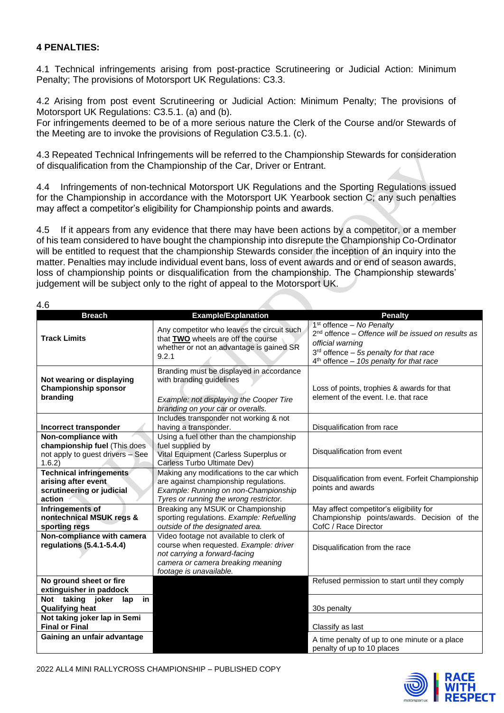## **4 PENALTIES:**

4.1 Technical infringements arising from post-practice Scrutineering or Judicial Action: Minimum Penalty; The provisions of Motorsport UK Regulations: C3.3.

4.2 Arising from post event Scrutineering or Judicial Action: Minimum Penalty; The provisions of Motorsport UK Regulations: C3.5.1. (a) and (b).

For infringements deemed to be of a more serious nature the Clerk of the Course and/or Stewards of the Meeting are to invoke the provisions of Regulation C3.5.1. (c).

4.3 Repeated Technical Infringements will be referred to the Championship Stewards for consideration of disqualification from the Championship of the Car, Driver or Entrant.

4.4 Infringements of non-technical Motorsport UK Regulations and the Sporting Regulations issued for the Championship in accordance with the Motorsport UK Yearbook section C; any such penalties may affect a competitor's eligibility for Championship points and awards.

4.5 If it appears from any evidence that there may have been actions by a competitor, or a member of his team considered to have bought the championship into disrepute the Championship Co-Ordinator will be entitled to request that the championship Stewards consider the inception of an inquiry into the matter. Penalties may include individual event bans, loss of event awards and or end of season awards, loss of championship points or disqualification from the championship. The Championship stewards' judgement will be subject only to the right of appeal to the Motorsport UK.

| × | I<br>۰, |
|---|---------|
|---|---------|

| ט.ד                                                                                               |                                                                                                                                                                                    |                                                                                                                                                                                                           |
|---------------------------------------------------------------------------------------------------|------------------------------------------------------------------------------------------------------------------------------------------------------------------------------------|-----------------------------------------------------------------------------------------------------------------------------------------------------------------------------------------------------------|
| <b>Breach</b>                                                                                     | <b>Example/Explanation</b>                                                                                                                                                         | <b>Penalty</b>                                                                                                                                                                                            |
| <b>Track Limits</b>                                                                               | Any competitor who leaves the circuit such<br>that TWO wheels are off the course<br>whether or not an advantage is gained SR<br>9.2.1                                              | $1st$ offence – No Penalty<br>$2nd$ offence – Offence will be issued on results as<br>official warning<br>3 <sup>rd</sup> offence - 5s penalty for that race<br>$4th$ offence - 10s penalty for that race |
| Not wearing or displaying<br><b>Championship sponsor</b><br>branding                              | Branding must be displayed in accordance<br>with branding guidelines<br>Example: not displaying the Cooper Tire<br>branding on your car or overalls.                               | Loss of points, trophies & awards for that<br>element of the event. I.e. that race                                                                                                                        |
|                                                                                                   | Includes transponder not working & not                                                                                                                                             |                                                                                                                                                                                                           |
| Incorrect transponder                                                                             | having a transponder.                                                                                                                                                              | Disqualification from race                                                                                                                                                                                |
| Non-compliance with<br>championship fuel (This does<br>not apply to guest drivers - See<br>1.6.2) | Using a fuel other than the championship<br>fuel supplied by<br>Vital Equipment (Carless Superplus or<br>Carless Turbo Ultimate Dev)                                               | Disqualification from event                                                                                                                                                                               |
| <b>Technical infringements</b><br>arising after event<br>scrutineering or judicial<br>action      | Making any modifications to the car which<br>are against championship regulations.<br>Example: Running on non-Championship<br>Tyres or running the wrong restrictor.               | Disqualification from event. Forfeit Championship<br>points and awards                                                                                                                                    |
| Infringements of<br>nontechnical MSUK regs &<br>sporting regs                                     | Breaking any MSUK or Championship<br>sporting regulations. Example: Refuelling<br>outside of the designated area.                                                                  | May affect competitor's eligibility for<br>Championship points/awards. Decision of the<br>CofC / Race Director                                                                                            |
| Non-compliance with camera<br>regulations (5.4.1-5.4.4)                                           | Video footage not available to clerk of<br>course when requested. Example: driver<br>not carrying a forward-facing<br>camera or camera breaking meaning<br>footage is unavailable. | Disqualification from the race                                                                                                                                                                            |
| No ground sheet or fire<br>extinguisher in paddock                                                |                                                                                                                                                                                    | Refused permission to start until they comply                                                                                                                                                             |
| Not taking joker<br>in<br>lap<br><b>Qualifying heat</b><br>Not taking joker lap in Semi           |                                                                                                                                                                                    | 30s penalty                                                                                                                                                                                               |
| <b>Final or Final</b>                                                                             |                                                                                                                                                                                    | Classify as last                                                                                                                                                                                          |
| Gaining an unfair advantage                                                                       |                                                                                                                                                                                    | A time penalty of up to one minute or a place<br>penalty of up to 10 places                                                                                                                               |

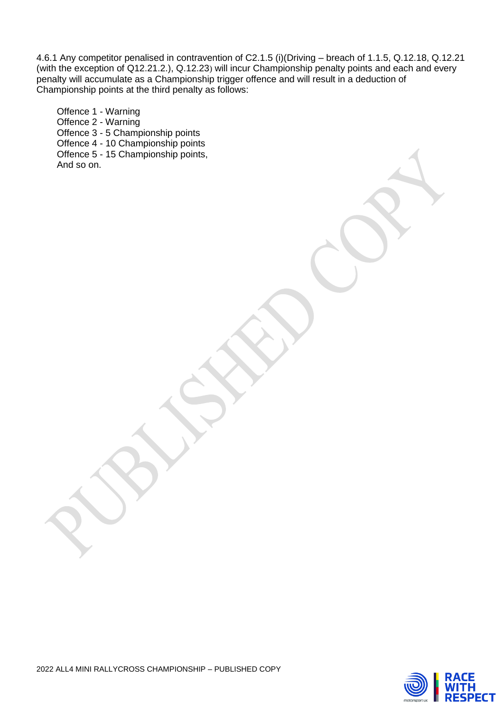4.6.1 Any competitor penalised in contravention of C2.1.5 (i)(Driving – breach of 1.1.5, Q.12.18, Q.12.21 (with the exception of Q12.21.2.), Q.12.23) will incur Championship penalty points and each and every penalty will accumulate as a Championship trigger offence and will result in a deduction of Championship points at the third penalty as follows:

Offence 1 - Warning Offence 2 - Warning Offence 3 - 5 Championship points Offence 4 - 10 Championship points Offence 5 - 15 Championship points, And so on.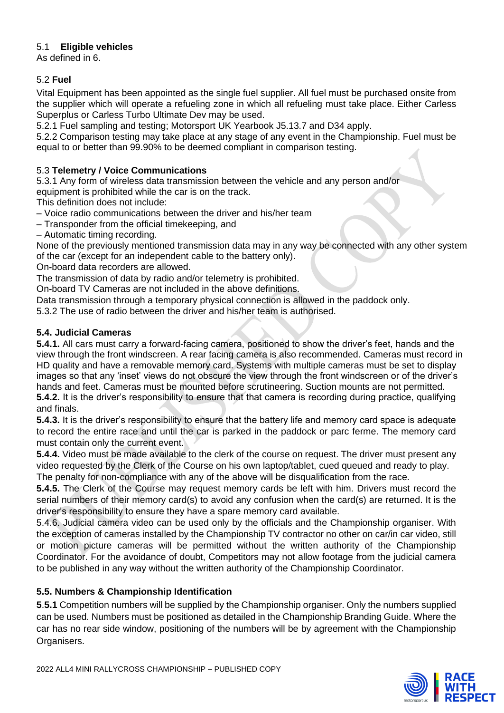## 5.1 **Eligible vehicles**

As defined in 6.

## 5.2 **Fuel**

Vital Equipment has been appointed as the single fuel supplier. All fuel must be purchased onsite from the supplier which will operate a refueling zone in which all refueling must take place. Either Carless Superplus or Carless Turbo Ultimate Dev may be used.

5.2.1 Fuel sampling and testing; Motorsport UK Yearbook J5.13.7 and D34 apply.

5.2.2 Comparison testing may take place at any stage of any event in the Championship. Fuel must be equal to or better than 99.90% to be deemed compliant in comparison testing.

## 5.3 **Telemetry / Voice Communications**

5.3.1 Any form of wireless data transmission between the vehicle and any person and/or

equipment is prohibited while the car is on the track.

This definition does not include:

– Voice radio communications between the driver and his/her team

– Transponder from the official timekeeping, and

– Automatic timing recording.

None of the previously mentioned transmission data may in any way be connected with any other system of the car (except for an independent cable to the battery only).

On**‐**board data recorders are allowed.

The transmission of data by radio and/or telemetry is prohibited.

On**‐**board TV Cameras are not included in the above definitions.

Data transmission through a temporary physical connection is allowed in the paddock only.

5.3.2 The use of radio between the driver and his/her team is authorised.

## **5.4. Judicial Cameras**

**5.4.1.** All cars must carry a forward-facing camera, positioned to show the driver's feet, hands and the view through the front windscreen. A rear facing camera is also recommended. Cameras must record in HD quality and have a removable memory card. Systems with multiple cameras must be set to display images so that any 'inset' views do not obscure the view through the front windscreen or of the driver's hands and feet. Cameras must be mounted before scrutineering. Suction mounts are not permitted. **5.4.2.** It is the driver's responsibility to ensure that that camera is recording during practice, qualifying and finals.

**5.4.3.** It is the driver's responsibility to ensure that the battery life and memory card space is adequate to record the entire race and until the car is parked in the paddock or parc ferme. The memory card must contain only the current event.

**5.4.4.** Video must be made available to the clerk of the course on request. The driver must present any video requested by the Clerk of the Course on his own laptop/tablet, eued queued and ready to play. The penalty for non-compliance with any of the above will be disqualification from the race.

**5.4.5.** The Clerk of the Course may request memory cards be left with him. Drivers must record the serial numbers of their memory card(s) to avoid any confusion when the card(s) are returned. It is the driver's responsibility to ensure they have a spare memory card available.

5.4.6. Judicial camera video can be used only by the officials and the Championship organiser. With the exception of cameras installed by the Championship TV contractor no other on car/in car video, still or motion picture cameras will be permitted without the written authority of the Championship Coordinator. For the avoidance of doubt, Competitors may not allow footage from the judicial camera to be published in any way without the written authority of the Championship Coordinator.

## **5.5. Numbers & Championship Identification**

**5**.**5.1** Competition numbers will be supplied by the Championship organiser. Only the numbers supplied can be used. Numbers must be positioned as detailed in the Championship Branding Guide. Where the car has no rear side window, positioning of the numbers will be by agreement with the Championship Organisers.



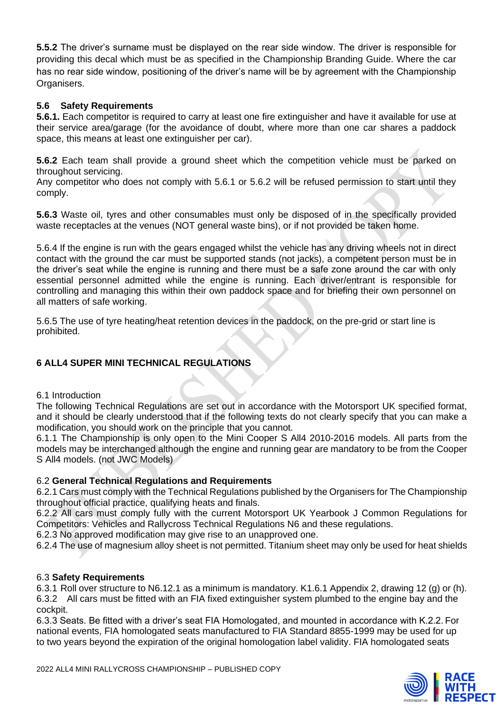**5.5.2** The driver's surname must be displayed on the rear side window. The driver is responsible for providing this decal which must be as specified in the Championship Branding Guide. Where the car has no rear side window, positioning of the driver's name will be by agreement with the Championship Organisers.

## **5.6 Safety Requirements**

**5.6.1.** Each competitor is required to carry at least one fire extinguisher and have it available for use at their service area/garage (for the avoidance of doubt, where more than one car shares a paddock space, this means at least one extinguisher per car).

**5.6.2** Each team shall provide a ground sheet which the competition vehicle must be parked on throughout servicing.

Any competitor who does not comply with 5.6.1 or 5.6.2 will be refused permission to start until they comply.

**5.6.3** Waste oil, tyres and other consumables must only be disposed of in the specifically provided waste receptacles at the venues (NOT general waste bins), or if not provided be taken home.

5.6.4 If the engine is run with the gears engaged whilst the vehicle has any driving wheels not in direct contact with the ground the car must be supported stands (not jacks), a competent person must be in the driver's seat while the engine is running and there must be a safe zone around the car with only essential personnel admitted while the engine is running. Each driver/entrant is responsible for controlling and managing this within their own paddock space and for briefing their own personnel on all matters of safe working.

5.6.5 The use of tyre heating/heat retention devices in the paddock, on the pre-grid or start line is prohibited.

## **6 ALL4 SUPER MINI TECHNICAL REGULATIONS**

## 6.1 Introduction

The following Technical Regulations are set out in accordance with the Motorsport UK specified format, and it should be clearly understood that if the following texts do not clearly specify that you can make a modification, you should work on the principle that you cannot.

6.1.1 The Championship is only open to the Mini Cooper S All4 2010-2016 models. All parts from the models may be interchanged although the engine and running gear are mandatory to be from the Cooper S All4 models. (not JWC Models)

## 6.2 **General Technical Regulations and Requirements**

6.2.1 Cars must comply with the Technical Regulations published by the Organisers for The Championship throughout official practice, qualifying heats and finals.

6.2.2 All cars must comply fully with the current Motorsport UK Yearbook J Common Regulations for Competitors: Vehicles and Rallycross Technical Regulations N6 and these regulations.

6.2.3 No approved modification may give rise to an unapproved one.

6.2.4 The use of magnesium alloy sheet is not permitted. Titanium sheet may only be used for heat shields

## 6.3 **Safety Requirements**

6.3.1 Roll over structure to N6.12.1 as a minimum is mandatory. K1.6.1 Appendix 2, drawing 12 (g) or (h). 6.3.2 All cars must be fitted with an FIA fixed extinguisher system plumbed to the engine bay and the cockpit.

6.3.3 Seats. Be fitted with a driver's seat FIA Homologated, and mounted in accordance with K.2.2. For national events, FIA homologated seats manufactured to FIA Standard 8855-1999 may be used for up to two years beyond the expiration of the original homologation label validity. FIA homologated seats

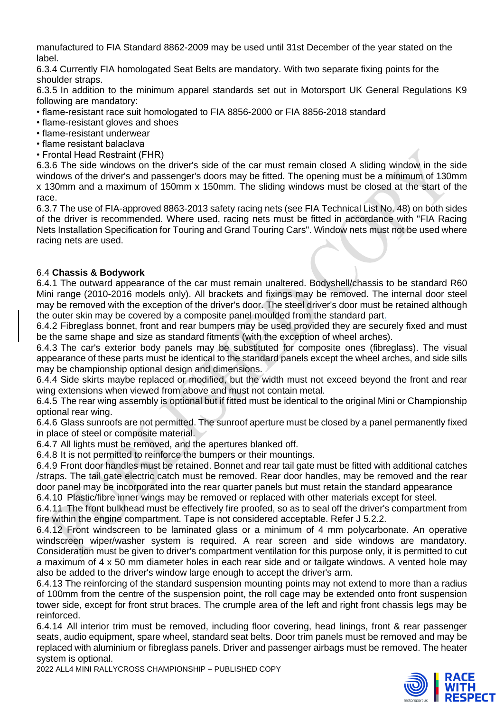manufactured to FIA Standard 8862-2009 may be used until 31st December of the year stated on the label.

6.3.4 Currently FIA homologated Seat Belts are mandatory. With two separate fixing points for the shoulder straps.

6.3.5 In addition to the minimum apparel standards set out in Motorsport UK General Regulations K9 following are mandatory:

- flame-resistant race suit homologated to FIA 8856-2000 or FIA 8856-2018 standard
- flame-resistant gloves and shoes
- flame-resistant underwear
- flame resistant balaclava
- Frontal Head Restraint (FHR)

6.3.6 The side windows on the driver's side of the car must remain closed A sliding window in the side windows of the driver's and passenger's doors may be fitted. The opening must be a minimum of 130mm x 130mm and a maximum of 150mm x 150mm. The sliding windows must be closed at the start of the race.

6.3.7 The use of FIA-approved 8863-2013 safety racing nets (see FIA Technical List No. 48) on both sides of the driver is recommended. Where used, racing nets must be fitted in accordance with "FIA Racing Nets Installation Specification for Touring and Grand Touring Cars". Window nets must not be used where racing nets are used.

## 6.4 **Chassis & Bodywork**

6.4.1 The outward appearance of the car must remain unaltered. Bodyshell/chassis to be standard R60 Mini range (2010-2016 models only). All brackets and fixings may be removed. The internal door steel may be removed with the exception of the driver's door. The steel driver's door must be retained although the outer skin may be covered by a composite panel moulded from the standard part.

6.4.2 Fibreglass bonnet, front and rear bumpers may be used provided they are securely fixed and must be the same shape and size as standard fitments (with the exception of wheel arches).

6.4.3 The car's exterior body panels may be substituted for composite ones (fibreglass). The visual appearance of these parts must be identical to the standard panels except the wheel arches, and side sills may be championship optional design and dimensions.

6.4.4 Side skirts maybe replaced or modified, but the width must not exceed beyond the front and rear wing extensions when viewed from above and must not contain metal.

6.4.5 The rear wing assembly is optional but if fitted must be identical to the original Mini or Championship optional rear wing.

6.4.6 Glass sunroofs are not permitted. The sunroof aperture must be closed by a panel permanently fixed in place of steel or composite material.

6.4.7 All lights must be removed, and the apertures blanked off.

6.4.8 It is not permitted to reinforce the bumpers or their mountings.

6.4.9 Front door handles must be retained. Bonnet and rear tail gate must be fitted with additional catches /straps. The tail gate electric catch must be removed. Rear door handles, may be removed and the rear door panel may be incorporated into the rear quarter panels but must retain the standard appearance

6.4.10 Plastic/fibre inner wings may be removed or replaced with other materials except for steel.

6.4.11 The front bulkhead must be effectively fire proofed, so as to seal off the driver's compartment from fire within the engine compartment. Tape is not considered acceptable. Refer J 5.2.2.

6.4.12 Front windscreen to be laminated glass or a minimum of 4 mm polycarbonate. An operative windscreen wiper/washer system is required. A rear screen and side windows are mandatory. Consideration must be given to driver's compartment ventilation for this purpose only, it is permitted to cut a maximum of 4 x 50 mm diameter holes in each rear side and or tailgate windows. A vented hole may also be added to the driver's window large enough to accept the driver's arm.

6.4.13 The reinforcing of the standard suspension mounting points may not extend to more than a radius of 100mm from the centre of the suspension point, the roll cage may be extended onto front suspension tower side, except for front strut braces. The crumple area of the left and right front chassis legs may be reinforced.

6.4.14 All interior trim must be removed, including floor covering, head linings, front & rear passenger seats, audio equipment, spare wheel, standard seat belts. Door trim panels must be removed and may be replaced with aluminium or fibreglass panels. Driver and passenger airbags must be removed. The heater system is optional.

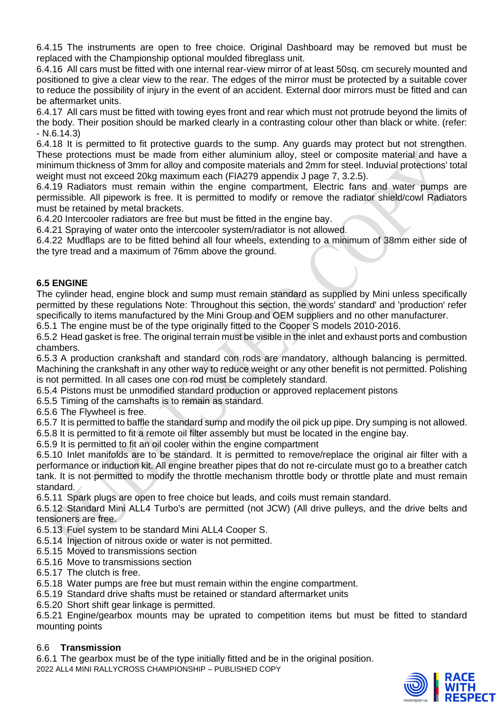6.4.15 The instruments are open to free choice. Original Dashboard may be removed but must be replaced with the Championship optional moulded fibreglass unit.

6.4.16 All cars must be fitted with one internal rear-view mirror of at least 50sq. cm securely mounted and positioned to give a clear view to the rear. The edges of the mirror must be protected by a suitable cover to reduce the possibility of injury in the event of an accident. External door mirrors must be fitted and can be aftermarket units.

6.4.17 All cars must be fitted with towing eyes front and rear which must not protrude beyond the limits of the body. Their position should be marked clearly in a contrasting colour other than black or white. (refer: - N.6.14.3)

6.4.18 It is permitted to fit protective guards to the sump. Any guards may protect but not strengthen. These protections must be made from either aluminium alloy, steel or composite material and have a minimum thickness of 3mm for alloy and composite materials and 2mm for steel. Induvial protections' total weight must not exceed 20kg maximum each (FIA279 appendix J page 7, 3.2.5).

6.4.19 Radiators must remain within the engine compartment, Electric fans and water pumps are permissible. All pipework is free. It is permitted to modify or remove the radiator shield/cowl Radiators must be retained by metal brackets.

6.4.20 Intercooler radiators are free but must be fitted in the engine bay.

6.4.21 Spraying of water onto the intercooler system/radiator is not allowed.

6.4.22 Mudflaps are to be fitted behind all four wheels, extending to a minimum of 38mm either side of the tyre tread and a maximum of 76mm above the ground.

## **6.5 ENGINE**

The cylinder head, engine block and sump must remain standard as supplied by Mini unless specifically permitted by these regulations Note: Throughout this section, the words' standard' and 'production' refer specifically to items manufactured by the Mini Group and OEM suppliers and no other manufacturer.

6.5.1 The engine must be of the type originally fitted to the Cooper S models 2010-2016.

6.5.2 Head gasket is free. The original terrain must be visible in the inlet and exhaust ports and combustion chambers.

6.5.3 A production crankshaft and standard con rods are mandatory, although balancing is permitted. Machining the crankshaft in any other way to reduce weight or any other benefit is not permitted. Polishing is not permitted. In all cases one con rod must be completely standard.

6.5.4 Pistons must be unmodified standard production or approved replacement pistons

6.5.5 Timing of the camshafts is to remain as standard.

6.5.6 The Flywheel is free.

6.5.7 It is permitted to baffle the standard sump and modify the oil pick up pipe. Dry sumping is not allowed.

6.5.8 It is permitted to fit a remote oil filter assembly but must be located in the engine bay.

6.5.9 It is permitted to fit an oil cooler within the engine compartment

6.5.10 Inlet manifolds are to be standard. It is permitted to remove/replace the original air filter with a performance or induction kit. All engine breather pipes that do not re-circulate must go to a breather catch tank. It is not permitted to modify the throttle mechanism throttle body or throttle plate and must remain standard.

6.5.11 Spark plugs are open to free choice but leads, and coils must remain standard.

6.5.12 Standard Mini ALL4 Turbo's are permitted (not JCW) (All drive pulleys, and the drive belts and tensioners are free.

6.5.13 Fuel system to be standard Mini ALL4 Cooper S.

6.5.14 Injection of nitrous oxide or water is not permitted.

6.5.15 Moved to transmissions section

6.5.16 Move to transmissions section

6.5.17 The clutch is free.

6.5.18 Water pumps are free but must remain within the engine compartment.

6.5.19 Standard drive shafts must be retained or standard aftermarket units

6.5.20 Short shift gear linkage is permitted.

6.5.21 Engine/gearbox mounts may be uprated to competition items but must be fitted to standard mounting points

## 6.6 **Transmission**

2022 ALL4 MINI RALLYCROSS CHAMPIONSHIP – PUBLISHED COPY 6.6.1 The gearbox must be of the type initially fitted and be in the original position.

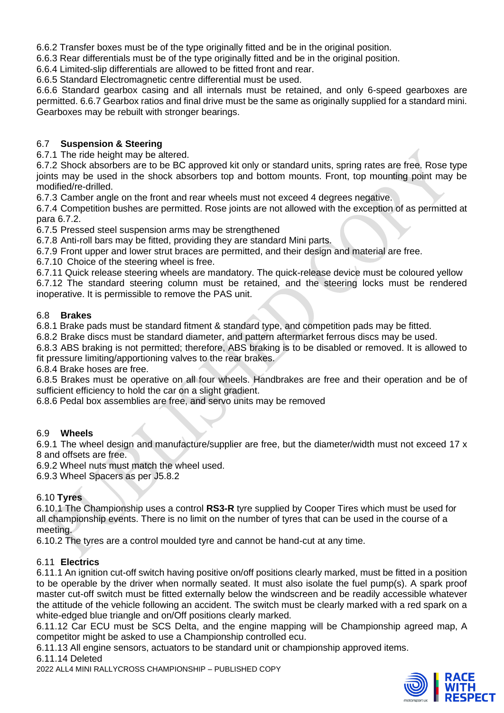6.6.2 Transfer boxes must be of the type originally fitted and be in the original position.

6.6.3 Rear differentials must be of the type originally fitted and be in the original position.

6.6.4 Limited-slip differentials are allowed to be fitted front and rear.

6.6.5 Standard Electromagnetic centre differential must be used.

6.6.6 Standard gearbox casing and all internals must be retained, and only 6-speed gearboxes are permitted. 6.6.7 Gearbox ratios and final drive must be the same as originally supplied for a standard mini. Gearboxes may be rebuilt with stronger bearings.

## 6.7 **Suspension & Steering**

6.7.1 The ride height may be altered.

6.7.2 Shock absorbers are to be BC approved kit only or standard units, spring rates are free. Rose type joints may be used in the shock absorbers top and bottom mounts. Front, top mounting point may be modified/re-drilled.

6.7.3 Camber angle on the front and rear wheels must not exceed 4 degrees negative.

6.7.4 Competition bushes are permitted. Rose joints are not allowed with the exception of as permitted at para 6.7.2.

6.7.5 Pressed steel suspension arms may be strengthened

6.7.8 Anti-roll bars may be fitted, providing they are standard Mini parts.

6.7.9 Front upper and lower strut braces are permitted, and their design and material are free.

6.7.10 Choice of the steering wheel is free.

6.7.11 Quick release steering wheels are mandatory. The quick-release device must be coloured yellow

6.7.12 The standard steering column must be retained, and the steering locks must be rendered inoperative. It is permissible to remove the PAS unit.

## 6.8 **Brakes**

6.8.1 Brake pads must be standard fitment & standard type, and competition pads may be fitted.

6.8.2 Brake discs must be standard diameter, and pattern aftermarket ferrous discs may be used.

6.8.3 ABS braking is not permitted; therefore, ABS braking is to be disabled or removed. It is allowed to fit pressure limiting/apportioning valves to the rear brakes.

6.8.4 Brake hoses are free.

6.8.5 Brakes must be operative on all four wheels. Handbrakes are free and their operation and be of sufficient efficiency to hold the car on a slight gradient.

6.8.6 Pedal box assemblies are free, and servo units may be removed

## 6.9 **Wheels**

6.9.1 The wheel design and manufacture/supplier are free, but the diameter/width must not exceed 17 x 8 and offsets are free.

6.9.2 Wheel nuts must match the wheel used.

6.9.3 Wheel Spacers as per J5.8.2

## 6.10 **Tyres**

6.10.1 The Championship uses a control **RS3-R** tyre supplied by Cooper Tires which must be used for all championship events. There is no limit on the number of tyres that can be used in the course of a meeting.

6.10.2 The tyres are a control moulded tyre and cannot be hand-cut at any time.

## 6.11 **Electrics**

6.11.1 An ignition cut-off switch having positive on/off positions clearly marked, must be fitted in a position to be operable by the driver when normally seated. It must also isolate the fuel pump(s). A spark proof master cut-off switch must be fitted externally below the windscreen and be readily accessible whatever the attitude of the vehicle following an accident. The switch must be clearly marked with a red spark on a white-edged blue triangle and on/Off positions clearly marked.

6.11.12 Car ECU must be SCS Delta, and the engine mapping will be Championship agreed map, A competitor might be asked to use a Championship controlled ecu.

6.11.13 All engine sensors, actuators to be standard unit or championship approved items.

6.11.14 Deleted

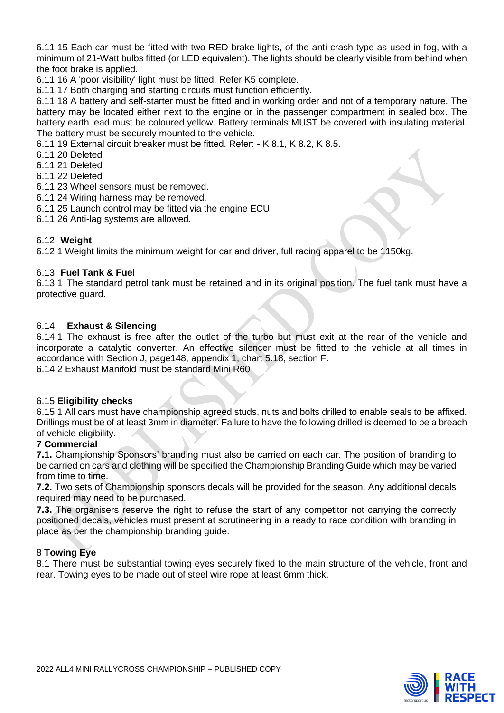6.11.15 Each car must be fitted with two RED brake lights, of the anti-crash type as used in fog, with a minimum of 21-Watt bulbs fitted (or LED equivalent). The lights should be clearly visible from behind when the foot brake is applied.

6.11.16 A 'poor visibility' light must be fitted. Refer K5 complete.

6.11.17 Both charging and starting circuits must function efficiently.

6.11.18 A battery and self-starter must be fitted and in working order and not of a temporary nature. The battery may be located either next to the engine or in the passenger compartment in sealed box. The battery earth lead must be coloured yellow. Battery terminals MUST be covered with insulating material. The battery must be securely mounted to the vehicle.

6.11.19 External circuit breaker must be fitted. Refer: - K 8.1, K 8.2, K 8.5.

6.11.20 Deleted

6.11.21 Deleted

6.11.22 Deleted

6.11.23 Wheel sensors must be removed.

6.11.24 Wiring harness may be removed.

6.11.25 Launch control may be fitted via the engine ECU.

6.11.26 Anti-lag systems are allowed.

#### 6.12 **Weight**

6.12.1 Weight limits the minimum weight for car and driver, full racing apparel to be 1150kg.

#### 6.13 **Fuel Tank & Fuel**

6.13.1 The standard petrol tank must be retained and in its original position. The fuel tank must have a protective guard.

#### 6.14 **Exhaust & Silencing**

6.14.1 The exhaust is free after the outlet of the turbo but must exit at the rear of the vehicle and incorporate a catalytic converter. An effective silencer must be fitted to the vehicle at all times in accordance with Section J, page148, appendix 1, chart 5.18, section F. 6.14.2 Exhaust Manifold must be standard Mini R60

#### 6.15 **Eligibility checks**

6.15.1 All cars must have championship agreed studs, nuts and bolts drilled to enable seals to be affixed. Drillings must be of at least 3mm in diameter. Failure to have the following drilled is deemed to be a breach of vehicle eligibility.

#### **7 Commercial**

**7.1.** Championship Sponsors' branding must also be carried on each car. The position of branding to be carried on cars and clothing will be specified the Championship Branding Guide which may be varied from time to time.

**7.2.** Two sets of Championship sponsors decals will be provided for the season. Any additional decals required may need to be purchased.

**7.3.** The organisers reserve the right to refuse the start of any competitor not carrying the correctly positioned decals, vehicles must present at scrutineering in a ready to race condition with branding in place as per the championship branding quide.

#### 8 **Towing Eye**

8.1 There must be substantial towing eyes securely fixed to the main structure of the vehicle, front and rear. Towing eyes to be made out of steel wire rope at least 6mm thick.